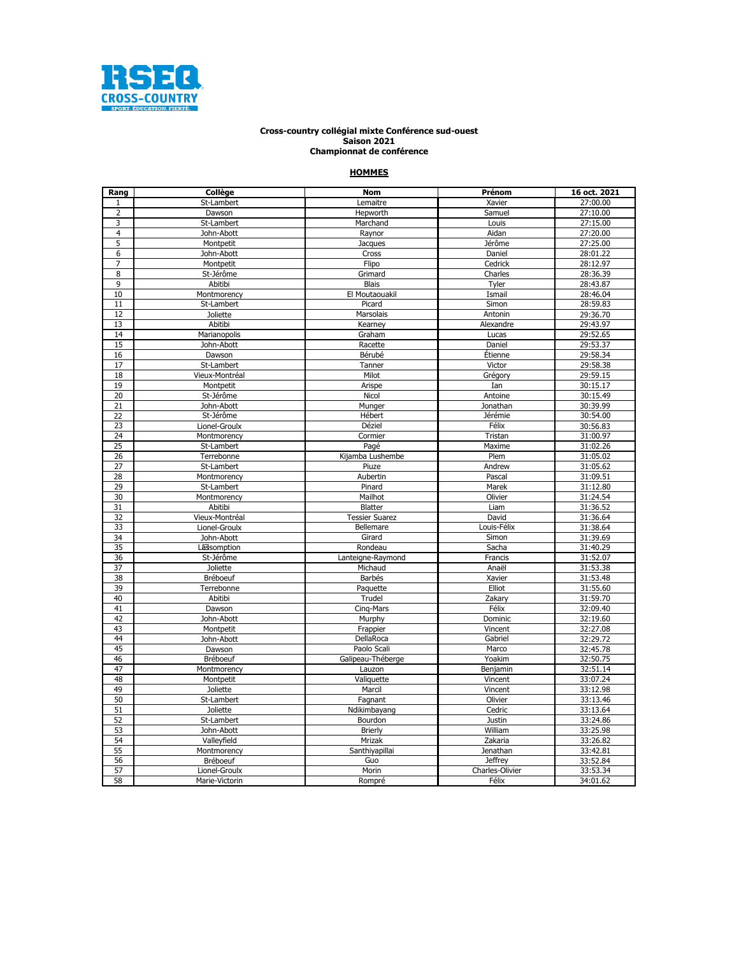

## **Championnat de conférence Cross-country collégial mixte Conférence sud-ouest Saison 2021**

## **HOMMES**

| Rang                    | Collège         | <b>Nom</b>            | Prénom                   | 16 oct. 2021 |
|-------------------------|-----------------|-----------------------|--------------------------|--------------|
| $\mathbf{1}$            | St-Lambert      | Lemaitre              | Xavier                   | 27:00.00     |
| $\overline{2}$          | Dawson          | Hepworth              | Samuel                   | 27:10.00     |
| 3                       | St-Lambert      | Marchand              | Louis                    | 27:15.00     |
| $\overline{\mathbf{4}}$ | John-Abott      | Raynor                | Aidan                    | 27:20.00     |
| 5                       | Montpetit       | Jacques               | Jérôme                   | 27:25.00     |
| 6                       | John-Abott      | Cross                 | Daniel                   | 28:01.22     |
| $\overline{7}$          | Montpetit       | Flipo                 | Cedrick                  | 28:12.97     |
| 8                       | St-Jérôme       | Grimard               | Charles                  | 28:36.39     |
| 9                       | Abitibi         | <b>Blais</b>          | Tyler                    | 28:43.87     |
| 10                      | Montmorency     | El Moutaouakil        | Ismail                   | 28:46.04     |
| 11                      | St-Lambert      | Picard                | Simon                    | 28:59.83     |
| 12                      | <b>Joliette</b> | Marsolais             | Antonin                  | 29:36.70     |
| 13                      | Abitibi         | Kearney               | Alexandre                | 29:43.97     |
| 14                      | Marianopolis    | Graham                | Lucas                    | 29:52.65     |
| 15                      | John-Abott      | Racette               | Daniel                   | 29:53.37     |
| 16                      | Dawson          | Bérubé                | Étienne                  | 29:58.34     |
| 17                      | St-Lambert      | Tanner                | Victor                   | 29:58.38     |
| 18                      | Vieux-Montréal  | Milot                 | Grégory                  | 29:59.15     |
| 19                      | Montpetit       | Arispe                | Ian                      | 30:15.17     |
| 20                      | St-Jérôme       | Nicol                 | Antoine                  | 30:15.49     |
| 21                      | John-Abott      | Munger                | Jonathan                 | 30:39.99     |
| 22                      | St-Jérôme       | Hébert                | Jérémie                  | 30:54.00     |
| 23                      | Lionel-Groulx   | Déziel                | Félix                    | 30:56.83     |
| 24                      | Montmorency     | Cormier               | Tristan                  | 31:00.97     |
| 25                      | St-Lambert      | Pagé                  | Maxime                   | 31:02.26     |
| 26                      | Terrebonne      | Kijamba Lushembe      | Plem                     | 31:05.02     |
| 27                      | St-Lambert      | Piuze                 | Andrew                   | 31:05.62     |
| 28                      | Montmorency     | Aubertin              | Pascal                   | 31:09.51     |
| 29                      | St-Lambert      | Pinard                | Marek                    | 31:12.80     |
| 30                      | Montmorency     | Mailhot               | Olivier                  | 31:24.54     |
| 31                      | Abitibi         | <b>Blatter</b>        | Liam                     | 31:36.52     |
| 32                      | Vieux-Montréal  | <b>Tessier Suarez</b> | David                    | 31:36.64     |
| 33                      | Lionel-Groulx   | Bellemare             | Louis-Félix              | 31:38.64     |
| 34                      | John-Abott      | Girard                | Simon                    | 31:39.69     |
| 35                      | Lassomption     | Rondeau               | Sacha                    | 31:40.29     |
| 36                      | St-Jérôme       | Lanteigne-Raymond     | Francis                  | 31:52.07     |
| 37                      | <b>Joliette</b> | Michaud               | Anaël                    | 31:53.38     |
| 38                      | Bréboeuf        | Barbés                | Xavier                   | 31:53.48     |
| 39                      | Terrebonne      | Paquette              | Elliot                   | 31:55.60     |
| 40                      | Abitibi         | Trudel                | Zakary                   | 31:59.70     |
| 41                      | Dawson          | Cing-Mars             | Félix                    | 32:09.40     |
| 42                      | John-Abott      | Murphy                | Dominic                  | 32:19.60     |
| 43                      | Montpetit       | Frappier              | Vincent                  | 32:27.08     |
| 44                      | John-Abott      | DellaRoca             | Gabriel                  | 32:29.72     |
| 45                      | Dawson          | Paolo Scali           | Marco                    | 32:45.78     |
| 46                      | Bréboeuf        | Galipeau-Théberge     | Yoakim                   | 32:50.75     |
| 47                      | Montmorency     | Lauzon                | Benjamin                 | 32:51.14     |
| 48                      | Montpetit       | Valiquette            | Vincent                  | 33:07.24     |
| 49                      | <b>Joliette</b> | Marcil                | Vincent                  | 33:12.98     |
| 50                      | St-Lambert      | Fagnant               | Olivier                  | 33:13.46     |
| 51                      | <b>Joliette</b> | Ndikimbayang          | Cedric                   | 33:13.64     |
| 52                      | St-Lambert      | Bourdon               | Justin                   | 33:24.86     |
| 53                      | John-Abott      | <b>Brierly</b>        | William                  | 33:25.98     |
| 54                      | Valleyfield     | Mrizak                | Zakaria                  | 33:26.82     |
| 55                      | Montmorency     | Santhiyapillai        | Jenathan                 | 33:42.81     |
| 56                      | Bréboeuf        | Guo                   | <b>Jeffrey</b>           | 33:52.84     |
| 57<br>58                | Lionel-Groulx   | Morin<br>Rompré       | Charles-Olivier<br>Félix | 33:53.34     |
|                         | Marie-Victorin  |                       |                          | 34:01.62     |